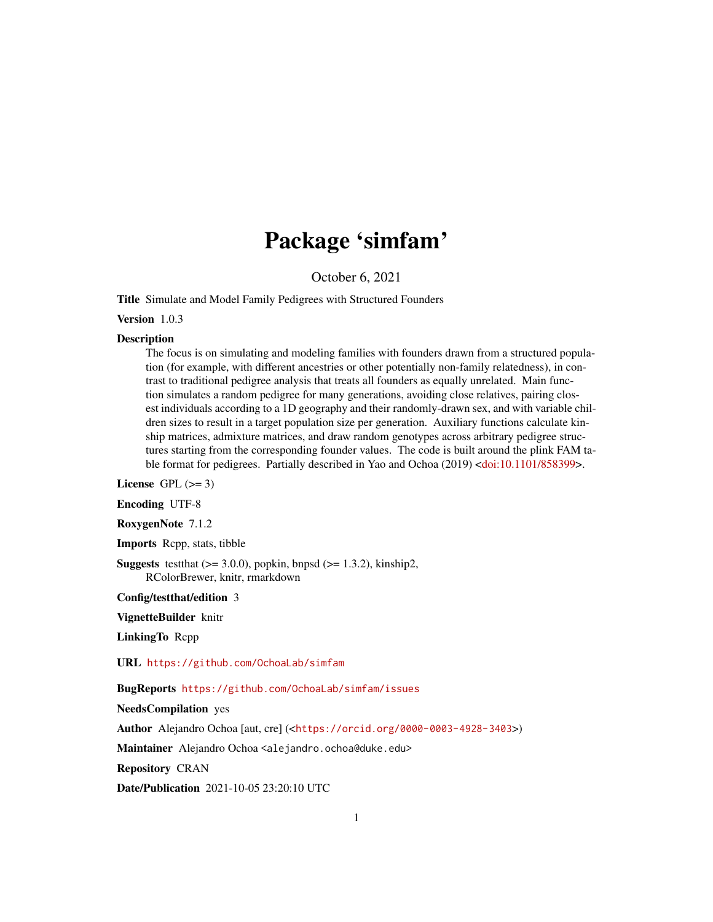# Package 'simfam'

October 6, 2021

<span id="page-0-0"></span>Title Simulate and Model Family Pedigrees with Structured Founders

Version 1.0.3

#### Description

The focus is on simulating and modeling families with founders drawn from a structured population (for example, with different ancestries or other potentially non-family relatedness), in contrast to traditional pedigree analysis that treats all founders as equally unrelated. Main function simulates a random pedigree for many generations, avoiding close relatives, pairing closest individuals according to a 1D geography and their randomly-drawn sex, and with variable children sizes to result in a target population size per generation. Auxiliary functions calculate kinship matrices, admixture matrices, and draw random genotypes across arbitrary pedigree structures starting from the corresponding founder values. The code is built around the plink FAM table format for pedigrees. Partially described in Yao and Ochoa (2019) [<doi:10.1101/858399>](https://doi.org/10.1101/858399).

License GPL  $(>= 3)$ 

Encoding UTF-8

RoxygenNote 7.1.2

Imports Rcpp, stats, tibble

**Suggests** test that  $(>= 3.0.0)$ , popkin, bnpsd  $(>= 1.3.2)$ , kinship2, RColorBrewer, knitr, rmarkdown

Config/testthat/edition 3

VignetteBuilder knitr

LinkingTo Rcpp

URL <https://github.com/OchoaLab/simfam>

BugReports <https://github.com/OchoaLab/simfam/issues>

NeedsCompilation yes

Author Alejandro Ochoa [aut, cre] (<<https://orcid.org/0000-0003-4928-3403>>)

Maintainer Alejandro Ochoa <alejandro.ochoa@duke.edu>

Repository CRAN

Date/Publication 2021-10-05 23:20:10 UTC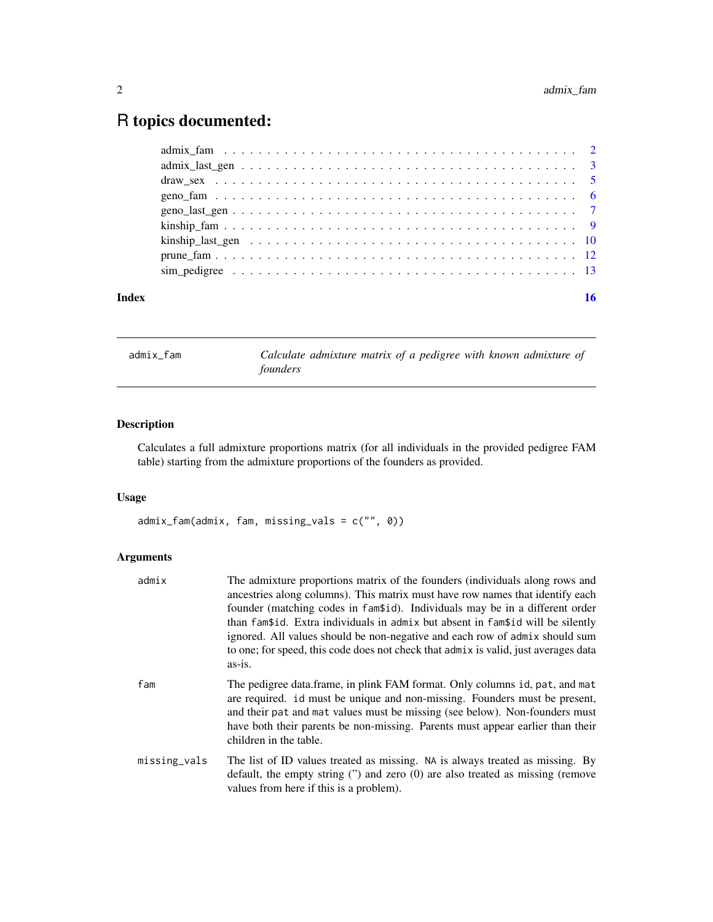## <span id="page-1-0"></span>R topics documented:

| Index |  |
|-------|--|
|       |  |
|       |  |
|       |  |
|       |  |
|       |  |
|       |  |
|       |  |
|       |  |
|       |  |

<span id="page-1-1"></span>admix\_fam *Calculate admixture matrix of a pedigree with known admixture of founders*

#### Description

Calculates a full admixture proportions matrix (for all individuals in the provided pedigree FAM table) starting from the admixture proportions of the founders as provided.

#### Usage

admix\_fam(admix, fam, missing\_vals = c("", 0))

#### Arguments

| admix        | The admixture proportions matrix of the founders (individuals along rows and<br>ancestries along columns). This matrix must have row names that identify each<br>founder (matching codes in fam\$id). Individuals may be in a different order<br>than fam\$id. Extra individuals in admix but absent in fam\$id will be silently<br>ignored. All values should be non-negative and each row of admix should sum<br>to one; for speed, this code does not check that admix is valid, just averages data<br>$as-is.$ |
|--------------|--------------------------------------------------------------------------------------------------------------------------------------------------------------------------------------------------------------------------------------------------------------------------------------------------------------------------------------------------------------------------------------------------------------------------------------------------------------------------------------------------------------------|
| fam          | The pedigree data.frame, in plink FAM format. Only columns id, pat, and mat<br>are required. id must be unique and non-missing. Founders must be present,<br>and their pat and mat values must be missing (see below). Non-founders must<br>have both their parents be non-missing. Parents must appear earlier than their<br>children in the table.                                                                                                                                                               |
| missing_vals | The list of ID values treated as missing. NA is always treated as missing. By<br>default, the empty string $('')$ and zero $(0)$ are also treated as missing (remove<br>values from here if this is a problem).                                                                                                                                                                                                                                                                                                    |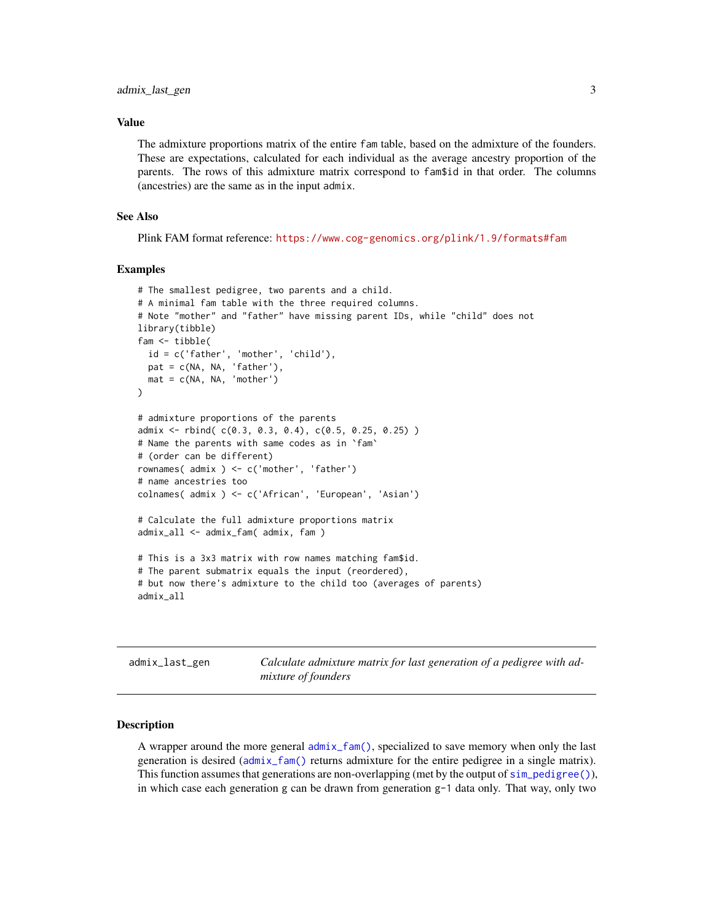#### <span id="page-2-0"></span>Value

The admixture proportions matrix of the entire fam table, based on the admixture of the founders. These are expectations, calculated for each individual as the average ancestry proportion of the parents. The rows of this admixture matrix correspond to fam\$id in that order. The columns (ancestries) are the same as in the input admix.

#### See Also

Plink FAM format reference: <https://www.cog-genomics.org/plink/1.9/formats#fam>

#### Examples

```
# The smallest pedigree, two parents and a child.
# A minimal fam table with the three required columns.
# Note "mother" and "father" have missing parent IDs, while "child" does not
library(tibble)
fam <- tibble(
  id = c('father', 'mother', 'child'),
  pat = c(NA, NA, 'father'),
  mat = c(NA, NA, 'mother'))
# admixture proportions of the parents
admix \leq rbind( c(0.3, 0.3, 0.4), c(0.5, 0.25, 0.25) )# Name the parents with same codes as in `fam`
# (order can be different)
rownames( admix ) <- c('mother', 'father')
# name ancestries too
colnames( admix ) <- c('African', 'European', 'Asian')
# Calculate the full admixture proportions matrix
admix_all <- admix_fam( admix, fam )
# This is a 3x3 matrix with row names matching fam$id.
# The parent submatrix equals the input (reordered),
# but now there's admixture to the child too (averages of parents)
admix_all
```
admix\_last\_gen *Calculate admixture matrix for last generation of a pedigree with admixture of founders*

#### Description

A wrapper around the more general  $admix_fam()$ , specialized to save memory when only the last generation is desired ([admix\\_fam\(\)](#page-1-1) returns admixture for the entire pedigree in a single matrix). This function assumes that generations are non-overlapping (met by the output of [sim\\_pedigree\(\)](#page-12-1)), in which case each generation g can be drawn from generation g-1 data only. That way, only two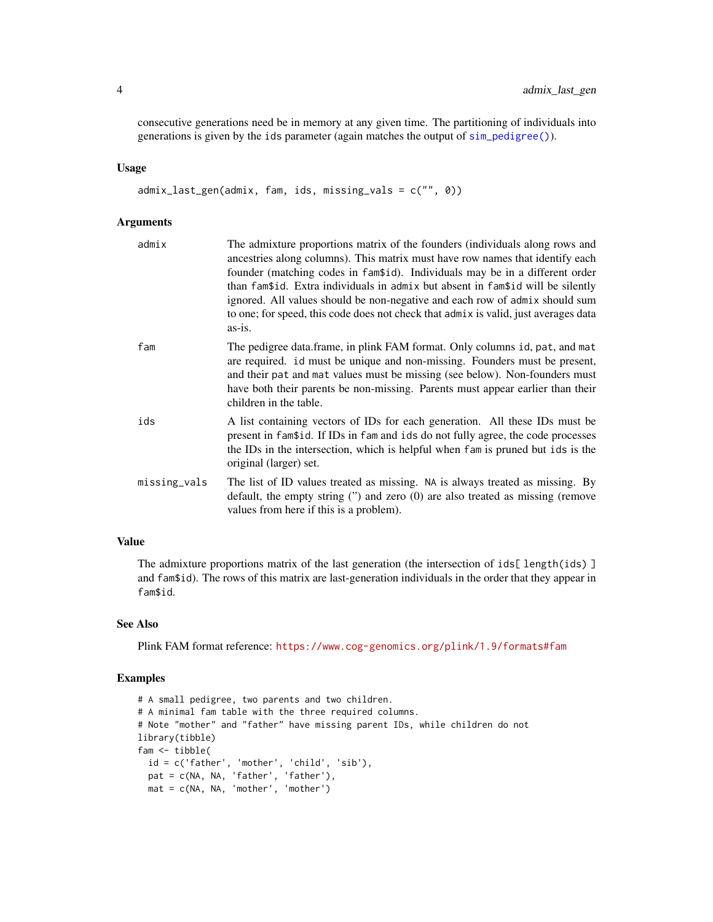<span id="page-3-0"></span>consecutive generations need be in memory at any given time. The partitioning of individuals into generations is given by the ids parameter (again matches the output of [sim\\_pedigree\(\)](#page-12-1)).

#### Usage

admix\_last\_gen(admix, fam, ids, missing\_vals = c("", 0))

#### Arguments

| admix        | The admixture proportions matrix of the founders (individuals along rows and<br>ancestries along columns). This matrix must have row names that identify each<br>founder (matching codes in fam\$id). Individuals may be in a different order<br>than fam\$id. Extra individuals in admix but absent in fam\$id will be silently<br>ignored. All values should be non-negative and each row of admix should sum<br>to one; for speed, this code does not check that admix is valid, just averages data<br>as-is. |
|--------------|------------------------------------------------------------------------------------------------------------------------------------------------------------------------------------------------------------------------------------------------------------------------------------------------------------------------------------------------------------------------------------------------------------------------------------------------------------------------------------------------------------------|
| fam          | The pedigree data.frame, in plink FAM format. Only columns id, pat, and mat<br>are required. id must be unique and non-missing. Founders must be present,<br>and their pat and mat values must be missing (see below). Non-founders must<br>have both their parents be non-missing. Parents must appear earlier than their<br>children in the table.                                                                                                                                                             |
| ids          | A list containing vectors of IDs for each generation. All these IDs must be<br>present in fam\$id. If IDs in fam and ids do not fully agree, the code processes<br>the IDs in the intersection, which is helpful when fam is pruned but ids is the<br>original (larger) set.                                                                                                                                                                                                                                     |
| missing_vals | The list of ID values treated as missing. NA is always treated as missing. By<br>default, the empty string $('')$ and zero $(0)$ are also treated as missing (remove<br>values from here if this is a problem).                                                                                                                                                                                                                                                                                                  |

#### Value

The admixture proportions matrix of the last generation (the intersection of  $ids[length(ids)]$ and fam\$id). The rows of this matrix are last-generation individuals in the order that they appear in fam\$id.

#### See Also

Plink FAM format reference: <https://www.cog-genomics.org/plink/1.9/formats#fam>

```
# A small pedigree, two parents and two children.
# A minimal fam table with the three required columns.
# Note "mother" and "father" have missing parent IDs, while children do not
library(tibble)
fam <- tibble(
  id = c('father', 'mother', 'child', 'sib'),
  pat = c(NA, NA, 'father', 'father'),
  mat = c(NA, NA, 'mother', 'mother')
```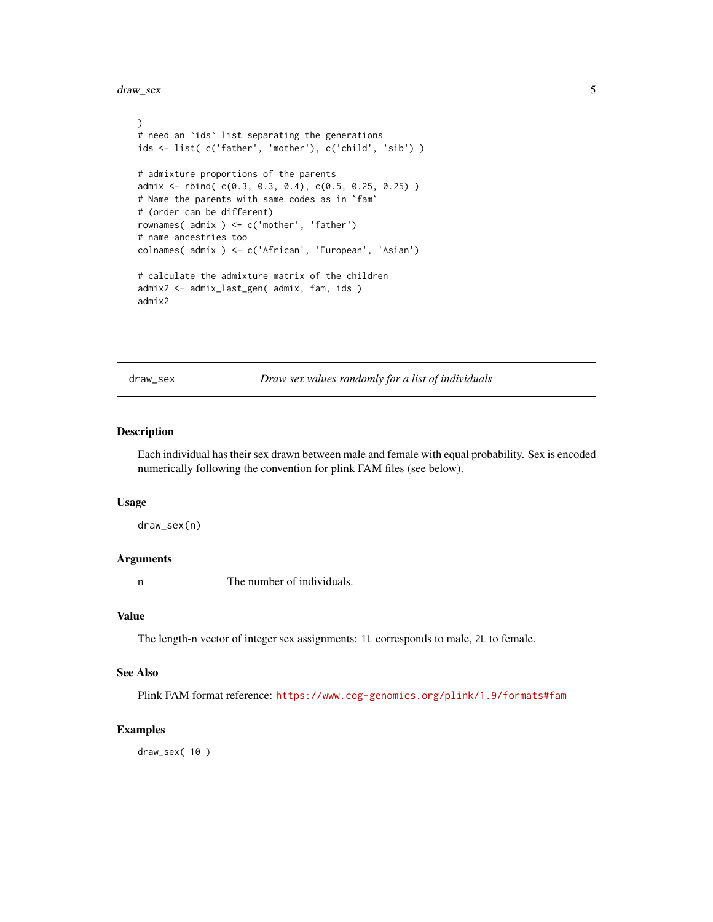<span id="page-4-0"></span>draw\_sex 5

```
)
# need an `ids` list separating the generations
ids <- list( c('father', 'mother'), c('child', 'sib') )
# admixture proportions of the parents
admix <- rbind( c(0.3, 0.3, 0.4), c(0.5, 0.25, 0.25) )
# Name the parents with same codes as in `fam`
# (order can be different)
rownames( admix ) <- c('mother', 'father')
# name ancestries too
colnames( admix ) <- c('African', 'European', 'Asian')
# calculate the admixture matrix of the children
admix2 <- admix_last_gen( admix, fam, ids )
admix2
```
<span id="page-4-1"></span>draw\_sex *Draw sex values randomly for a list of individuals*

#### Description

Each individual has their sex drawn between male and female with equal probability. Sex is encoded numerically following the convention for plink FAM files (see below).

#### Usage

draw\_sex(n)

#### Arguments

n The number of individuals.

#### Value

The length-n vector of integer sex assignments: 1L corresponds to male, 2L to female.

#### See Also

Plink FAM format reference: <https://www.cog-genomics.org/plink/1.9/formats#fam>

#### Examples

draw\_sex( 10 )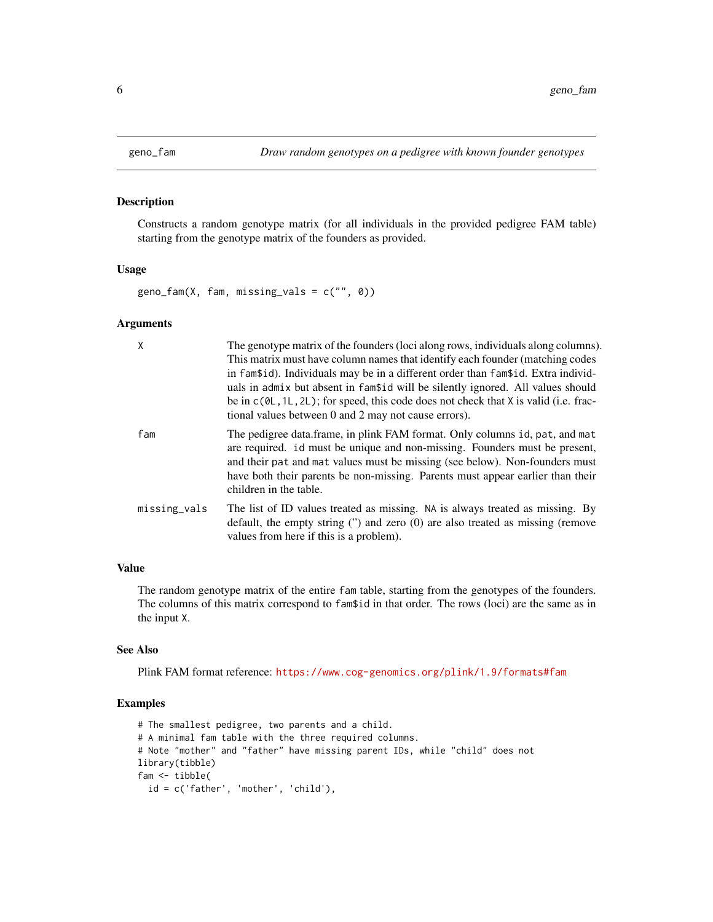#### Description

Constructs a random genotype matrix (for all individuals in the provided pedigree FAM table) starting from the genotype matrix of the founders as provided.

#### Usage

 $geno_fam(X, fam, missing_values = c("", 0))$ 

#### Arguments

| X            | The genotype matrix of the founders (loci along rows, individuals along columns).<br>This matrix must have column names that identify each founder (matching codes<br>in fam\$id). Individuals may be in a different order than fam\$id. Extra individ-<br>uals in admix but absent in fam <sup>\$1</sup> d will be silently ignored. All values should<br>be in $c(\emptyset L, 1L, 2L)$ ; for speed, this code does not check that X is valid (i.e. frac-<br>tional values between 0 and 2 may not cause errors). |
|--------------|---------------------------------------------------------------------------------------------------------------------------------------------------------------------------------------------------------------------------------------------------------------------------------------------------------------------------------------------------------------------------------------------------------------------------------------------------------------------------------------------------------------------|
| fam          | The pedigree data.frame, in plink FAM format. Only columns id, pat, and mat<br>are required. id must be unique and non-missing. Founders must be present,<br>and their pat and mat values must be missing (see below). Non-founders must<br>have both their parents be non-missing. Parents must appear earlier than their<br>children in the table.                                                                                                                                                                |
| missing_vals | The list of ID values treated as missing. NA is always treated as missing. By<br>default, the empty string $($ ") and zero $(0)$ are also treated as missing (remove<br>values from here if this is a problem).                                                                                                                                                                                                                                                                                                     |

#### Value

The random genotype matrix of the entire fam table, starting from the genotypes of the founders. The columns of this matrix correspond to fam\$id in that order. The rows (loci) are the same as in the input X.

#### See Also

Plink FAM format reference: <https://www.cog-genomics.org/plink/1.9/formats#fam>

```
# The smallest pedigree, two parents and a child.
# A minimal fam table with the three required columns.
# Note "mother" and "father" have missing parent IDs, while "child" does not
library(tibble)
fam <- tibble(
  id = c('father', 'mother', 'child'),
```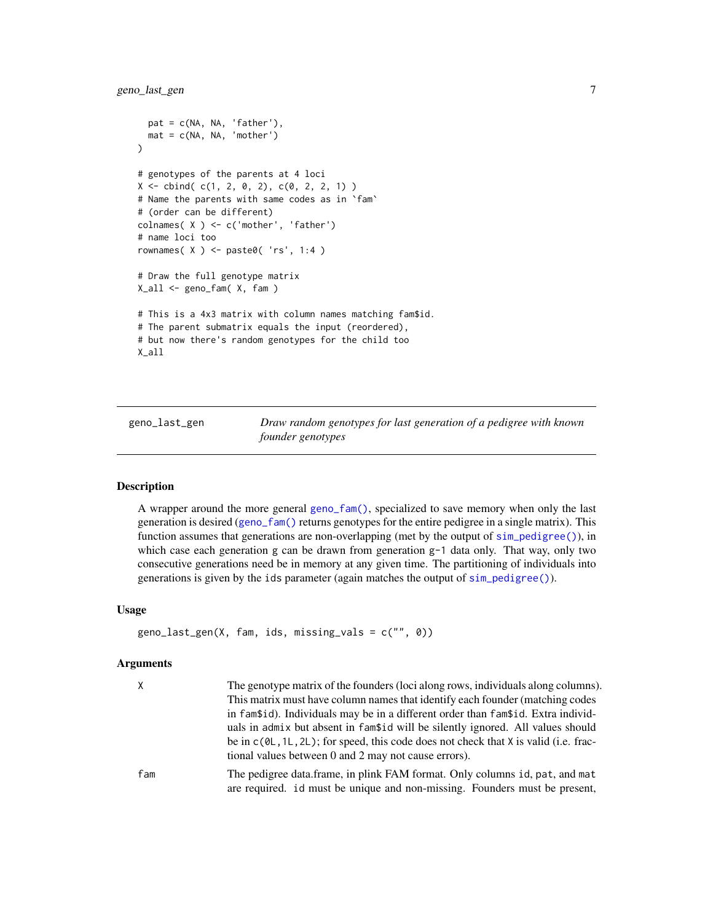```
pat = c(NA, NA, 'father'),mat = c(NA, NA, 'mother')
)
# genotypes of the parents at 4 loci
X \leftarrow \text{cbind}(c(1, 2, 0, 2), c(0, 2, 2, 1))# Name the parents with same codes as in `fam`
# (order can be different)
colnames( X ) <- c('mother', 'father')
# name loci too
rownames( X ) <- paste0( 'rs', 1:4 )
# Draw the full genotype matrix
X_all <- geno_fam( X, fam )
# This is a 4x3 matrix with column names matching fam$id.
# The parent submatrix equals the input (reordered),
# but now there's random genotypes for the child too
X_all
```
geno\_last\_gen *Draw random genotypes for last generation of a pedigree with known founder genotypes*

#### **Description**

A wrapper around the more general [geno\\_fam\(\)](#page-5-1), specialized to save memory when only the last generation is desired ([geno\\_fam\(\)](#page-5-1) returns genotypes for the entire pedigree in a single matrix). This function assumes that generations are non-overlapping (met by the output of [sim\\_pedigree\(\)](#page-12-1)), in which case each generation g can be drawn from generation g-1 data only. That way, only two consecutive generations need be in memory at any given time. The partitioning of individuals into generations is given by the ids parameter (again matches the output of [sim\\_pedigree\(\)](#page-12-1)).

#### Usage

```
geno_last_gen(X, fam, ids, missing_vals = c("", 0))
```
#### Arguments

| $\mathsf{X}$ | The genotype matrix of the founders (loci along rows, individuals along columns).                                                                         |
|--------------|-----------------------------------------------------------------------------------------------------------------------------------------------------------|
|              | This matrix must have column names that identify each founder (matching codes                                                                             |
|              | in fam\$id). Individuals may be in a different order than fam\$id. Extra individ-                                                                         |
|              | uals in admix but absent in fam <sup>\$1</sup> d will be silently ignored. All values should                                                              |
|              | be in $c(\theta L, 1L, 2L)$ ; for speed, this code does not check that X is valid (i.e. frac-<br>tional values between 0 and 2 may not cause errors).     |
| fam          | The pedigree data.frame, in plink FAM format. Only columns id, pat, and mat<br>are required. id must be unique and non-missing. Founders must be present, |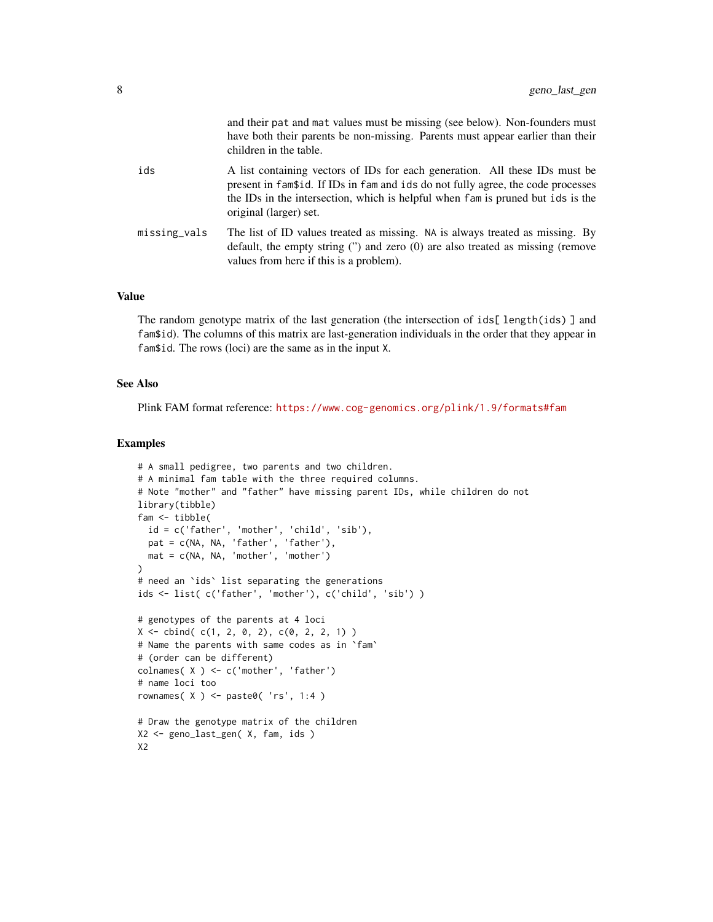|              | and their pat and mat values must be missing (see below). Non-founders must<br>have both their parents be non-missing. Parents must appear earlier than their<br>children in the table.                                                                                      |
|--------------|------------------------------------------------------------------------------------------------------------------------------------------------------------------------------------------------------------------------------------------------------------------------------|
| ids          | A list containing vectors of IDs for each generation. All these IDs must be<br>present in fam\$id. If IDs in fam and ids do not fully agree, the code processes<br>the IDs in the intersection, which is helpful when fam is pruned but ids is the<br>original (larger) set. |
| missing_vals | The list of ID values treated as missing. NA is always treated as missing. By<br>default, the empty string (") and zero (0) are also treated as missing (remove<br>values from here if this is a problem).                                                                   |

#### Value

The random genotype matrix of the last generation (the intersection of ids[length(ids)] and fam\$id). The columns of this matrix are last-generation individuals in the order that they appear in fam\$id. The rows (loci) are the same as in the input X.

#### See Also

Plink FAM format reference: <https://www.cog-genomics.org/plink/1.9/formats#fam>

```
# A small pedigree, two parents and two children.
# A minimal fam table with the three required columns.
# Note "mother" and "father" have missing parent IDs, while children do not
library(tibble)
fam <- tibble(
 id = c('father', 'mother', 'child', 'sib'),
  pat = c(NA, NA, 'father', 'father'),
  mat = c(NA, NA, 'mother', 'mother')
\mathcal{L}# need an `ids` list separating the generations
ids <- list( c('father', 'mother'), c('child', 'sib') )
# genotypes of the parents at 4 loci
X \le - cbind( c(1, 2, 0, 2), c(0, 2, 2, 1))
# Name the parents with same codes as in `fam`
# (order can be different)
colnames( X ) <- c('mother', 'father')
# name loci too
rownames( X ) <- paste0( 'rs', 1:4 )
# Draw the genotype matrix of the children
X2 <- geno_last_gen( X, fam, ids )
X2
```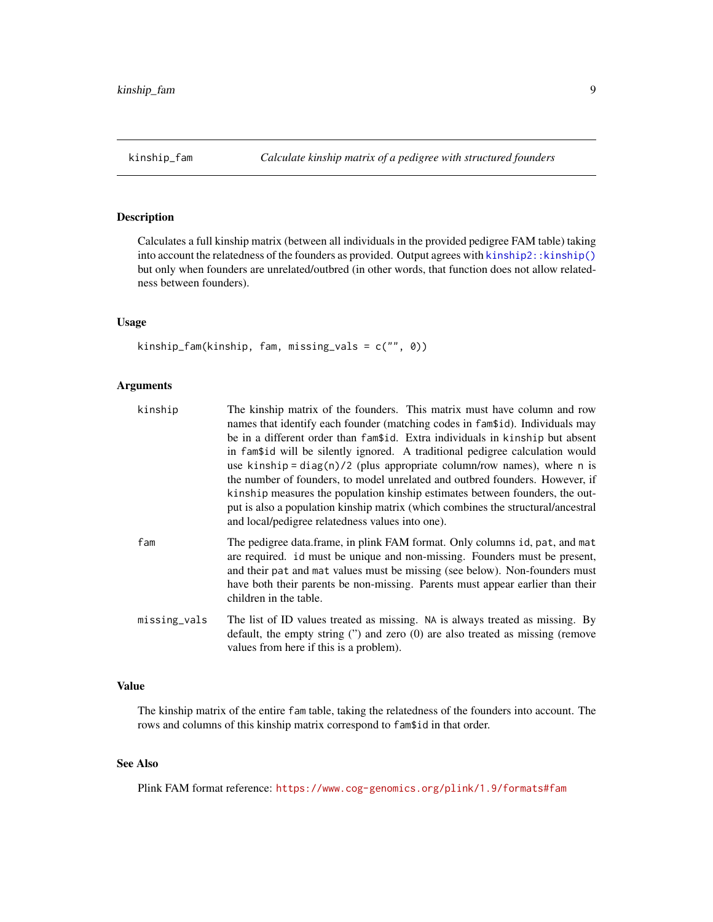<span id="page-8-1"></span><span id="page-8-0"></span>

#### Description

Calculates a full kinship matrix (between all individuals in the provided pedigree FAM table) taking into account the relatedness of the founders as provided. Output agrees with [kinship2::kinship\(\)](#page-0-0) but only when founders are unrelated/outbred (in other words, that function does not allow relatedness between founders).

#### Usage

kinship\_fam(kinship, fam, missing\_vals = c("", 0))

#### Arguments

| kinship      | The kinship matrix of the founders. This matrix must have column and row<br>names that identify each founder (matching codes in fam\$id). Individuals may<br>be in a different order than fam <sup>\$1</sup> d. Extra individuals in kinship but absent<br>in fam <sup>nnum</sup> in fam <sup>n</sup> nimid will be silently ignored. A traditional pedigree calculation would<br>use kinship = $diag(n)/2$ (plus appropriate column/row names), where n is<br>the number of founders, to model unrelated and outbred founders. However, if<br>kinship measures the population kinship estimates between founders, the out-<br>put is also a population kinship matrix (which combines the structural/ancestral<br>and local/pedigree relatedness values into one). |
|--------------|---------------------------------------------------------------------------------------------------------------------------------------------------------------------------------------------------------------------------------------------------------------------------------------------------------------------------------------------------------------------------------------------------------------------------------------------------------------------------------------------------------------------------------------------------------------------------------------------------------------------------------------------------------------------------------------------------------------------------------------------------------------------|
| fam          | The pedigree data.frame, in plink FAM format. Only columns id, pat, and mat<br>are required. id must be unique and non-missing. Founders must be present,<br>and their pat and mat values must be missing (see below). Non-founders must<br>have both their parents be non-missing. Parents must appear earlier than their<br>children in the table.                                                                                                                                                                                                                                                                                                                                                                                                                |
| missing_vals | The list of ID values treated as missing. NA is always treated as missing. By<br>default, the empty string $"$ and zero $(0)$ are also treated as missing (remove<br>values from here if this is a problem).                                                                                                                                                                                                                                                                                                                                                                                                                                                                                                                                                        |

#### Value

The kinship matrix of the entire fam table, taking the relatedness of the founders into account. The rows and columns of this kinship matrix correspond to fam\$id in that order.

#### See Also

Plink FAM format reference: <https://www.cog-genomics.org/plink/1.9/formats#fam>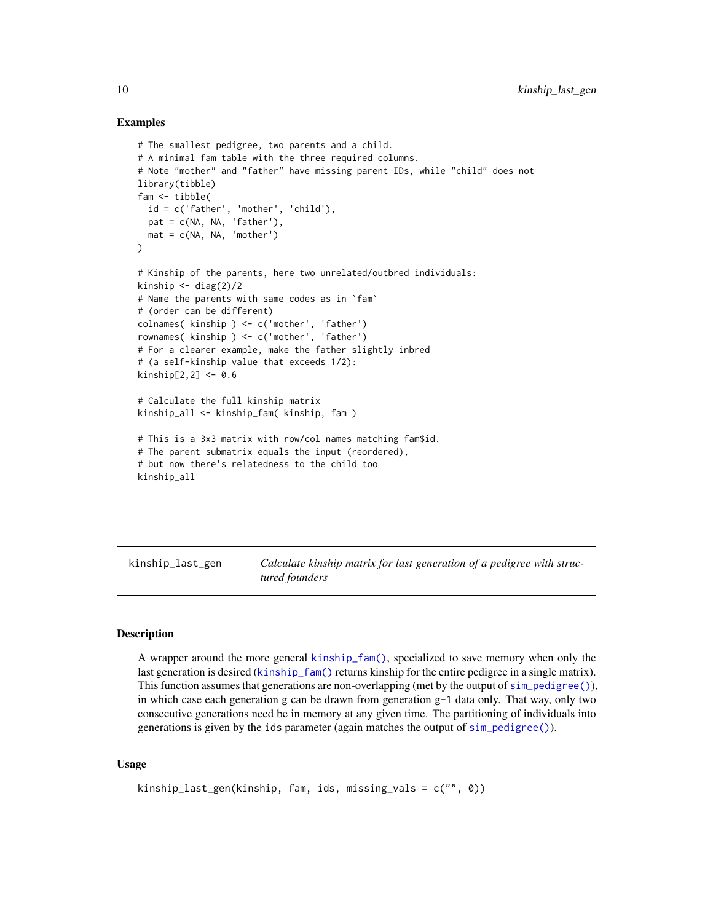#### Examples

```
# The smallest pedigree, two parents and a child.
# A minimal fam table with the three required columns.
# Note "mother" and "father" have missing parent IDs, while "child" does not
library(tibble)
fam <- tibble(
  id = c('father', 'mother', 'child'),
  pat = c(NA, NA, 'father'),
  mat = c(NA, NA, 'mother')
)
# Kinship of the parents, here two unrelated/outbred individuals:
kinship \leftarrow diag(2)/2
# Name the parents with same codes as in `fam`
# (order can be different)
colnames( kinship ) <- c('mother', 'father')
rownames( kinship ) <- c('mother', 'father')
# For a clearer example, make the father slightly inbred
# (a self-kinship value that exceeds 1/2):
kinship[2,2] < -0.6# Calculate the full kinship matrix
kinship_all <- kinship_fam( kinship, fam )
# This is a 3x3 matrix with row/col names matching fam$id.
# The parent submatrix equals the input (reordered),
# but now there's relatedness to the child too
kinship_all
```
kinship\_last\_gen *Calculate kinship matrix for last generation of a pedigree with structured founders*

#### Description

A wrapper around the more general [kinship\\_fam\(\)](#page-8-1), specialized to save memory when only the last generation is desired ([kinship\\_fam\(\)](#page-8-1) returns kinship for the entire pedigree in a single matrix). This function assumes that generations are non-overlapping (met by the output of [sim\\_pedigree\(\)](#page-12-1)), in which case each generation g can be drawn from generation  $g-1$  data only. That way, only two consecutive generations need be in memory at any given time. The partitioning of individuals into generations is given by the ids parameter (again matches the output of [sim\\_pedigree\(\)](#page-12-1)).

#### Usage

```
kinship_last_gen(kinship, fam, ids, missing_vals = c("", 0))
```
<span id="page-9-0"></span>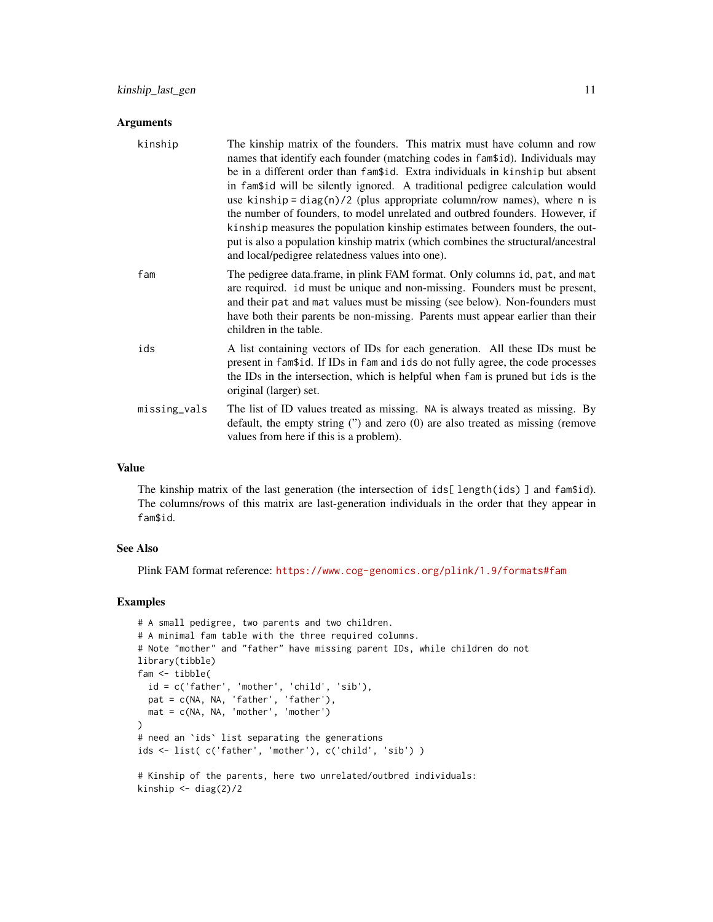#### **Arguments**

| kinship      | The kinship matrix of the founders. This matrix must have column and row<br>names that identify each founder (matching codes in fam\$id). Individuals may<br>be in a different order than fam\$id. Extra individuals in kinship but absent<br>in fam\$id will be silently ignored. A traditional pedigree calculation would<br>use kinship = $diag(n)/2$ (plus appropriate column/row names), where n is<br>the number of founders, to model unrelated and outbred founders. However, if<br>kinship measures the population kinship estimates between founders, the out-<br>put is also a population kinship matrix (which combines the structural/ancestral<br>and local/pedigree relatedness values into one). |
|--------------|------------------------------------------------------------------------------------------------------------------------------------------------------------------------------------------------------------------------------------------------------------------------------------------------------------------------------------------------------------------------------------------------------------------------------------------------------------------------------------------------------------------------------------------------------------------------------------------------------------------------------------------------------------------------------------------------------------------|
| fam          | The pedigree data.frame, in plink FAM format. Only columns id, pat, and mat<br>are required. id must be unique and non-missing. Founders must be present,<br>and their pat and mat values must be missing (see below). Non-founders must<br>have both their parents be non-missing. Parents must appear earlier than their<br>children in the table.                                                                                                                                                                                                                                                                                                                                                             |
| ids          | A list containing vectors of IDs for each generation. All these IDs must be<br>present in fam\$id. If IDs in fam and ids do not fully agree, the code processes<br>the IDs in the intersection, which is helpful when fam is pruned but ids is the<br>original (larger) set.                                                                                                                                                                                                                                                                                                                                                                                                                                     |
| missing_vals | The list of ID values treated as missing. NA is always treated as missing. By<br>default, the empty string $('')$ and zero $(0)$ are also treated as missing (remove<br>values from here if this is a problem).                                                                                                                                                                                                                                                                                                                                                                                                                                                                                                  |

#### Value

The kinship matrix of the last generation (the intersection of ids[ length(ids) ] and fam\$id). The columns/rows of this matrix are last-generation individuals in the order that they appear in fam\$id.

#### See Also

Plink FAM format reference: <https://www.cog-genomics.org/plink/1.9/formats#fam>

```
# A small pedigree, two parents and two children.
# A minimal fam table with the three required columns.
# Note "mother" and "father" have missing parent IDs, while children do not
library(tibble)
fam <- tibble(
  id = c('father', 'mother', 'child', 'sib'),
  pat = c(NA, NA, 'father', 'father'),
  mat = c(NA, NA, 'mother', 'mother')
)
# need an `ids` list separating the generations
ids <- list( c('father', 'mother'), c('child', 'sib') )
# Kinship of the parents, here two unrelated/outbred individuals:
kinship <- diag(2)/2
```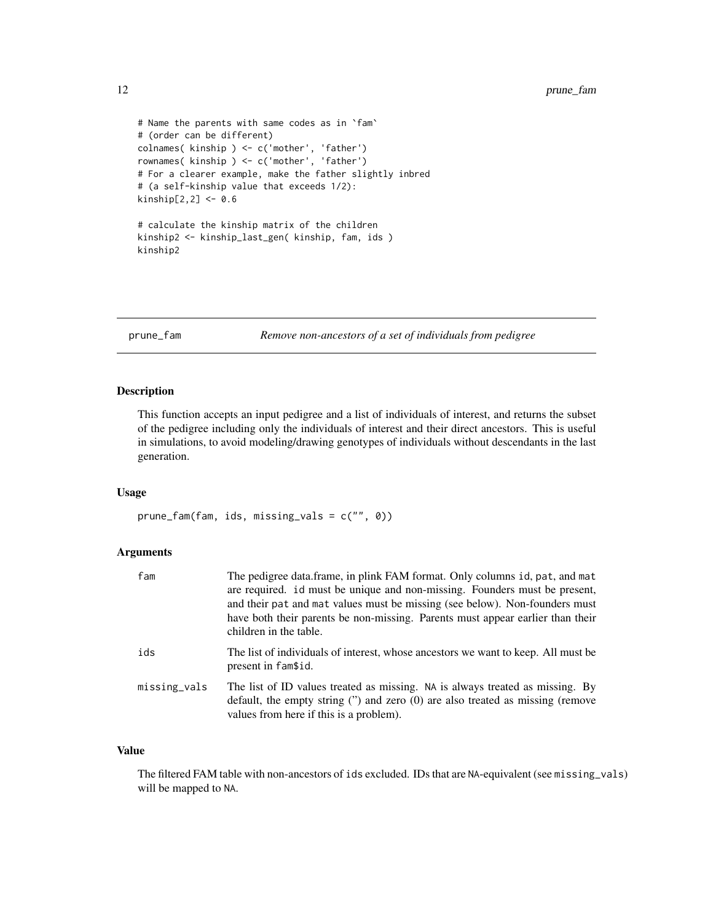```
# Name the parents with same codes as in `fam`
# (order can be different)
colnames( kinship ) <- c('mother', 'father')
rownames( kinship ) <- c('mother', 'father')
# For a clearer example, make the father slightly inbred
# (a self-kinship value that exceeds 1/2):
kinship[2,2] < -0.6# calculate the kinship matrix of the children
kinship2 <- kinship_last_gen( kinship, fam, ids )
kinship2
```

```
prune_fam Remove non-ancestors of a set of individuals from pedigree
```
#### Description

This function accepts an input pedigree and a list of individuals of interest, and returns the subset of the pedigree including only the individuals of interest and their direct ancestors. This is useful in simulations, to avoid modeling/drawing genotypes of individuals without descendants in the last generation.

#### Usage

prune\_fam(fam, ids, missing\_vals = c("", 0))

#### Arguments

| fam          | The pedigree data.frame, in plink FAM format. Only columns id, pat, and mat<br>are required. id must be unique and non-missing. Founders must be present,<br>and their pat and mat values must be missing (see below). Non-founders must<br>have both their parents be non-missing. Parents must appear earlier than their<br>children in the table. |
|--------------|------------------------------------------------------------------------------------------------------------------------------------------------------------------------------------------------------------------------------------------------------------------------------------------------------------------------------------------------------|
| ids          | The list of individuals of interest, whose ancestors we want to keep. All must be<br>present in fam\$id.                                                                                                                                                                                                                                             |
| missing_vals | The list of ID values treated as missing. NA is always treated as missing. By<br>default, the empty string $('')$ and zero $(0)$ are also treated as missing (remove<br>values from here if this is a problem).                                                                                                                                      |

#### Value

The filtered FAM table with non-ancestors of ids excluded. IDs that are NA-equivalent (see missing\_vals) will be mapped to NA.

<span id="page-11-0"></span>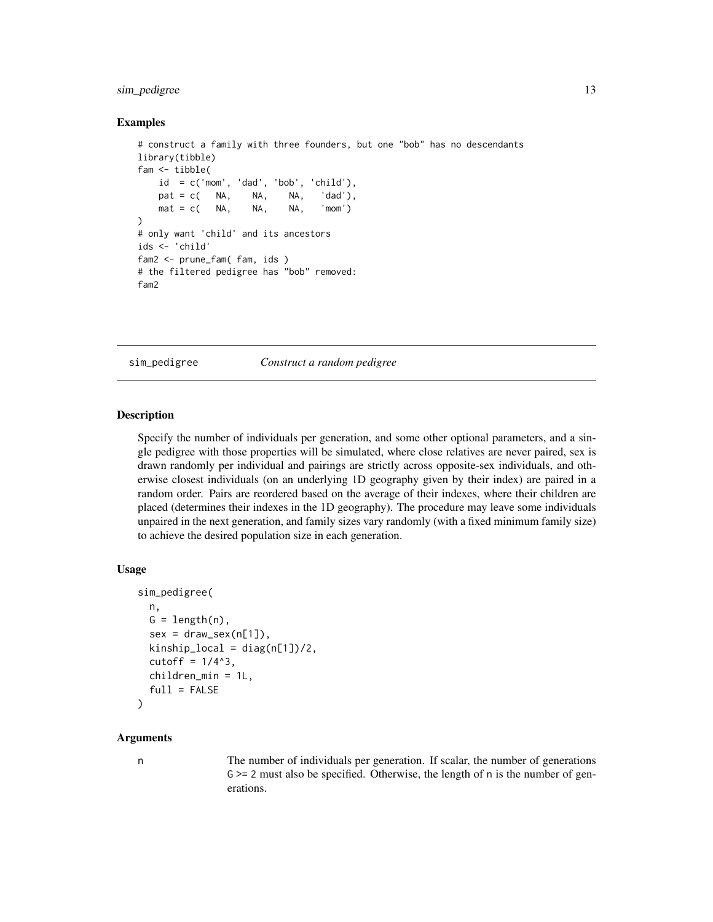#### <span id="page-12-0"></span>sim\_pedigree 13

#### Examples

```
# construct a family with three founders, but one "bob" has no descendants
library(tibble)
fam <- tibble(
   id = c('mom', 'dad', 'bob', 'child'),pat = c( NA, NA, NA, 'dad'),mat = c( NA, NA, NA, 'mom'))
# only want 'child' and its ancestors
ids <- 'child'
fam2 <- prune_fam( fam, ids )
# the filtered pedigree has "bob" removed:
fam2
```
<span id="page-12-1"></span>sim\_pedigree *Construct a random pedigree*

#### Description

Specify the number of individuals per generation, and some other optional parameters, and a single pedigree with those properties will be simulated, where close relatives are never paired, sex is drawn randomly per individual and pairings are strictly across opposite-sex individuals, and otherwise closest individuals (on an underlying 1D geography given by their index) are paired in a random order. Pairs are reordered based on the average of their indexes, where their children are placed (determines their indexes in the 1D geography). The procedure may leave some individuals unpaired in the next generation, and family sizes vary randomly (with a fixed minimum family size) to achieve the desired population size in each generation.

#### Usage

```
sim_pedigree(
  n,
 G = length(n),
  sex = draw\_sex(n[1]),kinship\_local = diag(n[1])/2,cutoff = 1/4^3,
  children_min = 1L,
  full = FALSE\lambda
```
#### Arguments

n The number of individuals per generation. If scalar, the number of generations  $G \ge 2$  must also be specified. Otherwise, the length of n is the number of generations.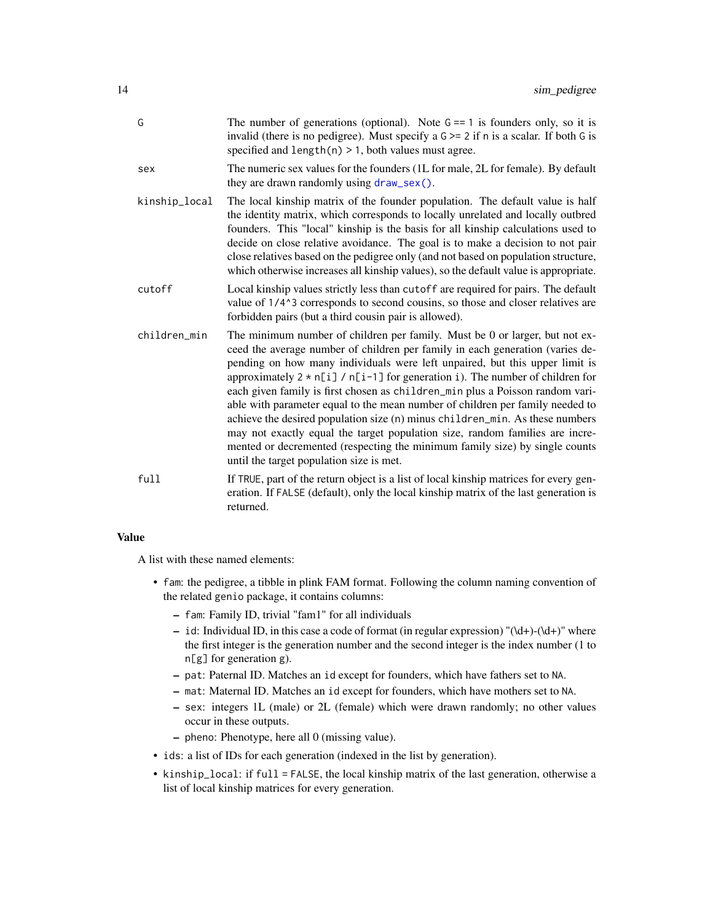<span id="page-13-0"></span>

| G             | The number of generations (optional). Note $G = 1$ is founders only, so it is<br>invalid (there is no pedigree). Must specify a $G \ge 2$ if n is a scalar. If both G is<br>specified and $length(n) > 1$ , both values must agree.                                                                                                                                                                                                                                                                                                                                                                                                                                                                                                                                                              |
|---------------|--------------------------------------------------------------------------------------------------------------------------------------------------------------------------------------------------------------------------------------------------------------------------------------------------------------------------------------------------------------------------------------------------------------------------------------------------------------------------------------------------------------------------------------------------------------------------------------------------------------------------------------------------------------------------------------------------------------------------------------------------------------------------------------------------|
| sex           | The numeric sex values for the founders (1L for male, 2L for female). By default<br>they are drawn randomly using draw_sex().                                                                                                                                                                                                                                                                                                                                                                                                                                                                                                                                                                                                                                                                    |
| kinship_local | The local kinship matrix of the founder population. The default value is half<br>the identity matrix, which corresponds to locally unrelated and locally outbred<br>founders. This "local" kinship is the basis for all kinship calculations used to<br>decide on close relative avoidance. The goal is to make a decision to not pair<br>close relatives based on the pedigree only (and not based on population structure,<br>which otherwise increases all kinship values), so the default value is appropriate.                                                                                                                                                                                                                                                                              |
| cutoff        | Local kinship values strictly less than cutoff are required for pairs. The default<br>value of 1/4^3 corresponds to second cousins, so those and closer relatives are<br>forbidden pairs (but a third cousin pair is allowed).                                                                                                                                                                                                                                                                                                                                                                                                                                                                                                                                                                   |
| children_min  | The minimum number of children per family. Must be 0 or larger, but not ex-<br>ceed the average number of children per family in each generation (varies de-<br>pending on how many individuals were left unpaired, but this upper limit is<br>approximately $2 \times n[i] / n[i-1]$ for generation i). The number of children for<br>each given family is first chosen as children_min plus a Poisson random vari-<br>able with parameter equal to the mean number of children per family needed to<br>achieve the desired population size (n) minus children_min. As these numbers<br>may not exactly equal the target population size, random families are incre-<br>mented or decremented (respecting the minimum family size) by single counts<br>until the target population size is met. |
| full          | If TRUE, part of the return object is a list of local kinship matrices for every gen-<br>eration. If FALSE (default), only the local kinship matrix of the last generation is<br>returned.                                                                                                                                                                                                                                                                                                                                                                                                                                                                                                                                                                                                       |

#### Value

A list with these named elements:

- fam: the pedigree, a tibble in plink FAM format. Following the column naming convention of the related genio package, it contains columns:
	- fam: Family ID, trivial "fam1" for all individuals
	- id: Individual ID, in this case a code of format (in regular expression) "(\d+)-(\d+)" where the first integer is the generation number and the second integer is the index number (1 to n[g] for generation g).
	- pat: Paternal ID. Matches an id except for founders, which have fathers set to NA.
	- mat: Maternal ID. Matches an id except for founders, which have mothers set to NA.
	- sex: integers 1L (male) or 2L (female) which were drawn randomly; no other values occur in these outputs.
	- pheno: Phenotype, here all 0 (missing value).
- ids: a list of IDs for each generation (indexed in the list by generation).
- kinship\_local: if full = FALSE, the local kinship matrix of the last generation, otherwise a list of local kinship matrices for every generation.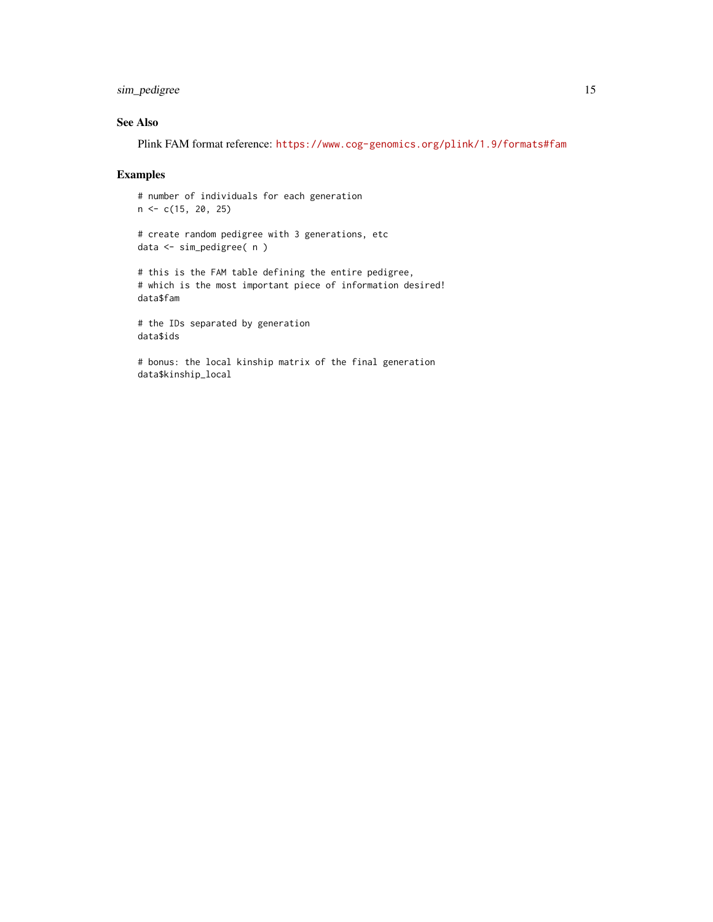#### sim\_pedigree 15

#### See Also

Plink FAM format reference: <https://www.cog-genomics.org/plink/1.9/formats#fam>

### Examples

# number of individuals for each generation  $n \leq c(15, 20, 25)$ # create random pedigree with 3 generations, etc data <- sim\_pedigree( n ) # this is the FAM table defining the entire pedigree, # which is the most important piece of information desired! data\$fam # the IDs separated by generation data\$ids # bonus: the local kinship matrix of the final generation data\$kinship\_local